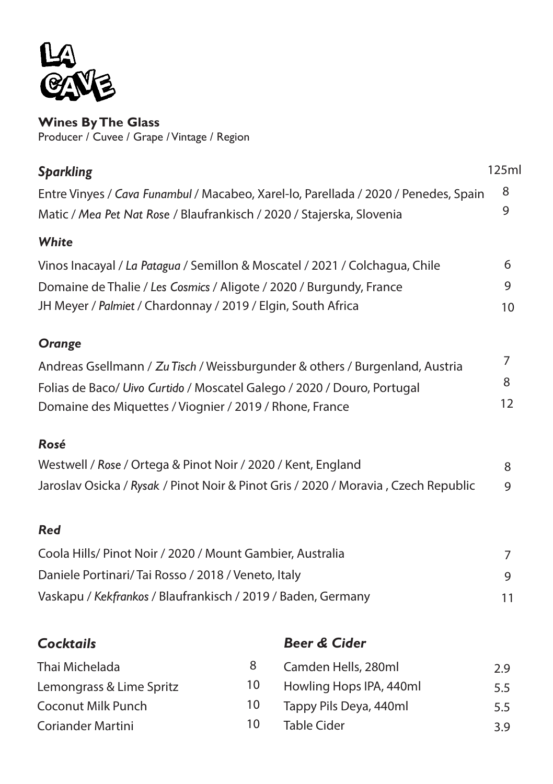

**Wines By The Glass** Producer / Cuvee / Grape / Vintage / Region

| <b>Sparkling</b>                                                                    | 125ml |  |  |
|-------------------------------------------------------------------------------------|-------|--|--|
| Entre Vinyes / Cava Funambul / Macabeo, Xarel-lo, Parellada / 2020 / Penedes, Spain | 8     |  |  |
| Matic / Mea Pet Nat Rose / Blaufrankisch / 2020 / Stajerska, Slovenia               | 9     |  |  |
| White                                                                               |       |  |  |
| Vinos Inacayal / La Patagua / Semillon & Moscatel / 2021 / Colchagua, Chile         | 6     |  |  |
| Domaine de Thalie / Les Cosmics / Aligote / 2020 / Burgundy, France                 | 9     |  |  |
| JH Meyer / Palmiet / Chardonnay / 2019 / Elgin, South Africa                        | 10    |  |  |
| Orange                                                                              |       |  |  |
| Andreas Gsellmann / Zu Tisch / Weissburgunder & others / Burgenland, Austria        | 7     |  |  |
| Folias de Baco/ Uivo Curtido / Moscatel Galego / 2020 / Douro, Portugal             | 8     |  |  |
| Domaine des Miquettes / Viognier / 2019 / Rhone, France                             | 12    |  |  |
| Rosé                                                                                |       |  |  |
| Westwell / Rose / Ortega & Pinot Noir / 2020 / Kent, England                        | 8     |  |  |
| Jaroslav Osicka / Rysak / Pinot Noir & Pinot Gris / 2020 / Moravia, Czech Republic  |       |  |  |
| <b>Red</b>                                                                          |       |  |  |
| Coola Hills/ Pinot Noir / 2020 / Mount Gambier, Australia                           | 7     |  |  |
| Daniele Portinari/ Tai Rosso / 2018 / Veneto, Italy                                 |       |  |  |
| Vaskapu / Kekfrankos / Blaufrankisch / 2019 / Baden, Germany                        | 11    |  |  |
| <b>Beer &amp; Cider</b><br><b>Cocktails</b>                                         |       |  |  |

| Thai Michelada           |    | Camden Hells, 280ml     | 2.9 |
|--------------------------|----|-------------------------|-----|
| Lemongrass & Lime Spritz | 10 | Howling Hops IPA, 440ml | 5.5 |
| Coconut Milk Punch       | 10 | Tappy Pils Deya, 440ml  | 5.5 |
| Coriander Martini        | 10 | Table Cider             | 39  |